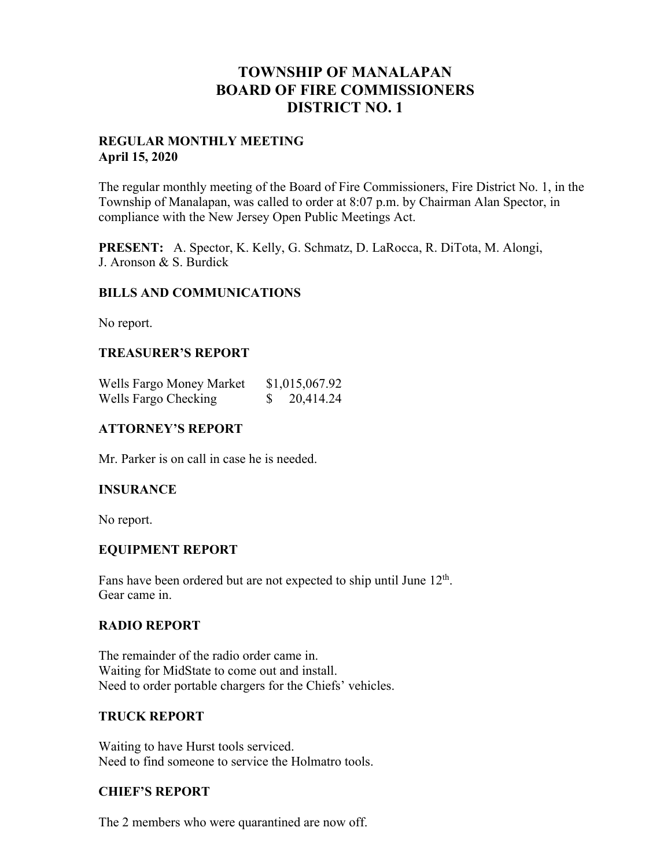# **TOWNSHIP OF MANALAPAN BOARD OF FIRE COMMISSIONERS DISTRICT NO. 1**

## **REGULAR MONTHLY MEETING April 15, 2020**

The regular monthly meeting of the Board of Fire Commissioners, Fire District No. 1, in the Township of Manalapan, was called to order at 8:07 p.m. by Chairman Alan Spector, in compliance with the New Jersey Open Public Meetings Act.

**PRESENT:** A. Spector, K. Kelly, G. Schmatz, D. LaRocca, R. DiTota, M. Alongi, J. Aronson & S. Burdick

## **BILLS AND COMMUNICATIONS**

No report.

## **TREASURER'S REPORT**

| Wells Fargo Money Market | \$1,015,067.92 |
|--------------------------|----------------|
| Wells Fargo Checking     | 20,414.24      |

## **ATTORNEY'S REPORT**

Mr. Parker is on call in case he is needed.

#### **INSURANCE**

No report.

## **EQUIPMENT REPORT**

Fans have been ordered but are not expected to ship until June  $12<sup>th</sup>$ . Gear came in.

#### **RADIO REPORT**

The remainder of the radio order came in. Waiting for MidState to come out and install. Need to order portable chargers for the Chiefs' vehicles.

#### **TRUCK REPORT**

Waiting to have Hurst tools serviced. Need to find someone to service the Holmatro tools.

# **CHIEF'S REPORT**

The 2 members who were quarantined are now off.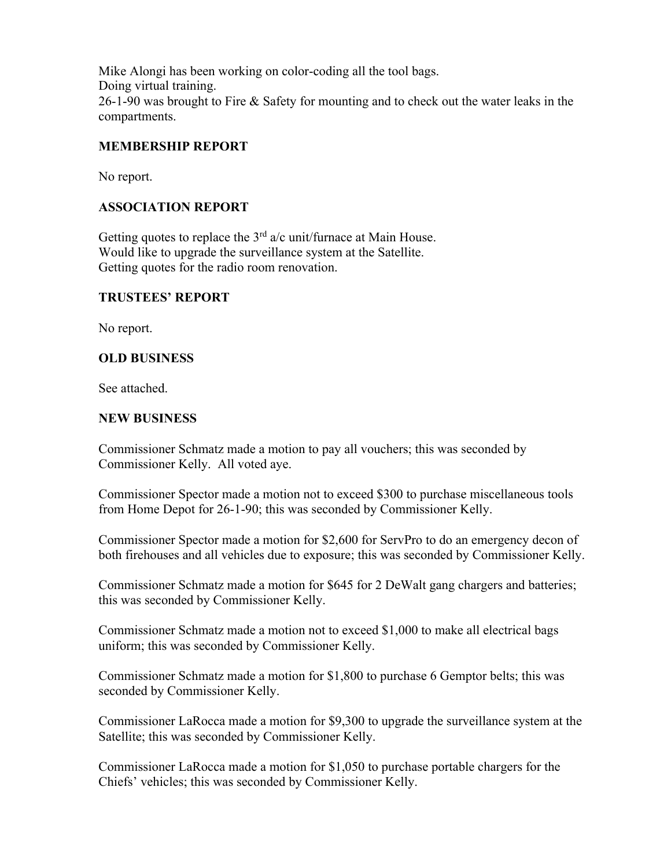Mike Alongi has been working on color-coding all the tool bags. Doing virtual training. 26-1-90 was brought to Fire & Safety for mounting and to check out the water leaks in the compartments.

# **MEMBERSHIP REPORT**

No report.

# **ASSOCIATION REPORT**

Getting quotes to replace the  $3<sup>rd</sup>$  a/c unit/furnace at Main House. Would like to upgrade the surveillance system at the Satellite. Getting quotes for the radio room renovation.

## **TRUSTEES' REPORT**

No report.

# **OLD BUSINESS**

See attached.

# **NEW BUSINESS**

Commissioner Schmatz made a motion to pay all vouchers; this was seconded by Commissioner Kelly. All voted aye.

Commissioner Spector made a motion not to exceed \$300 to purchase miscellaneous tools from Home Depot for 26-1-90; this was seconded by Commissioner Kelly.

Commissioner Spector made a motion for \$2,600 for ServPro to do an emergency decon of both firehouses and all vehicles due to exposure; this was seconded by Commissioner Kelly.

Commissioner Schmatz made a motion for \$645 for 2 DeWalt gang chargers and batteries; this was seconded by Commissioner Kelly.

Commissioner Schmatz made a motion not to exceed \$1,000 to make all electrical bags uniform; this was seconded by Commissioner Kelly.

Commissioner Schmatz made a motion for \$1,800 to purchase 6 Gemptor belts; this was seconded by Commissioner Kelly.

Commissioner LaRocca made a motion for \$9,300 to upgrade the surveillance system at the Satellite; this was seconded by Commissioner Kelly.

Commissioner LaRocca made a motion for \$1,050 to purchase portable chargers for the Chiefs' vehicles; this was seconded by Commissioner Kelly.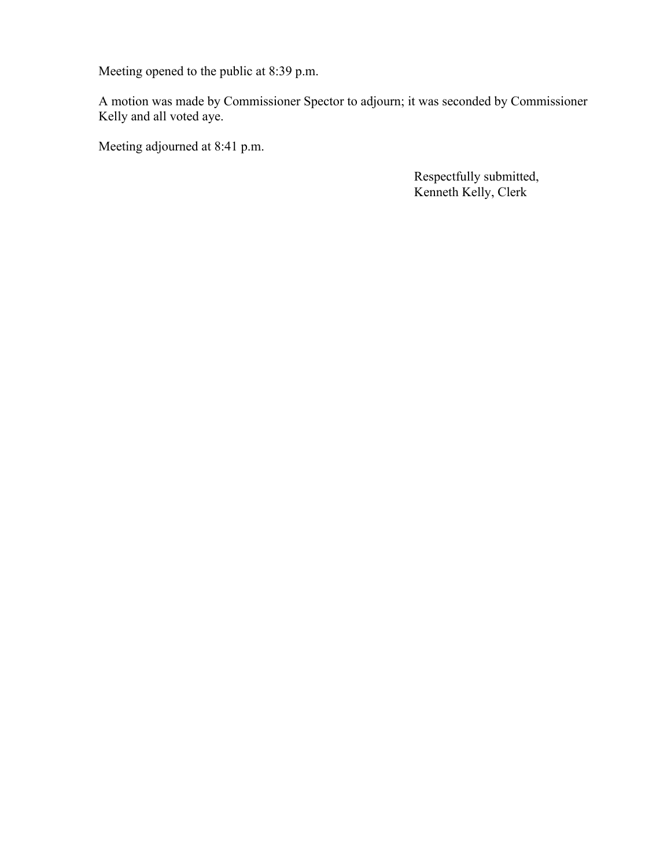Meeting opened to the public at 8:39 p.m.

A motion was made by Commissioner Spector to adjourn; it was seconded by Commissioner Kelly and all voted aye.

Meeting adjourned at 8:41 p.m.

 Respectfully submitted, Kenneth Kelly, Clerk